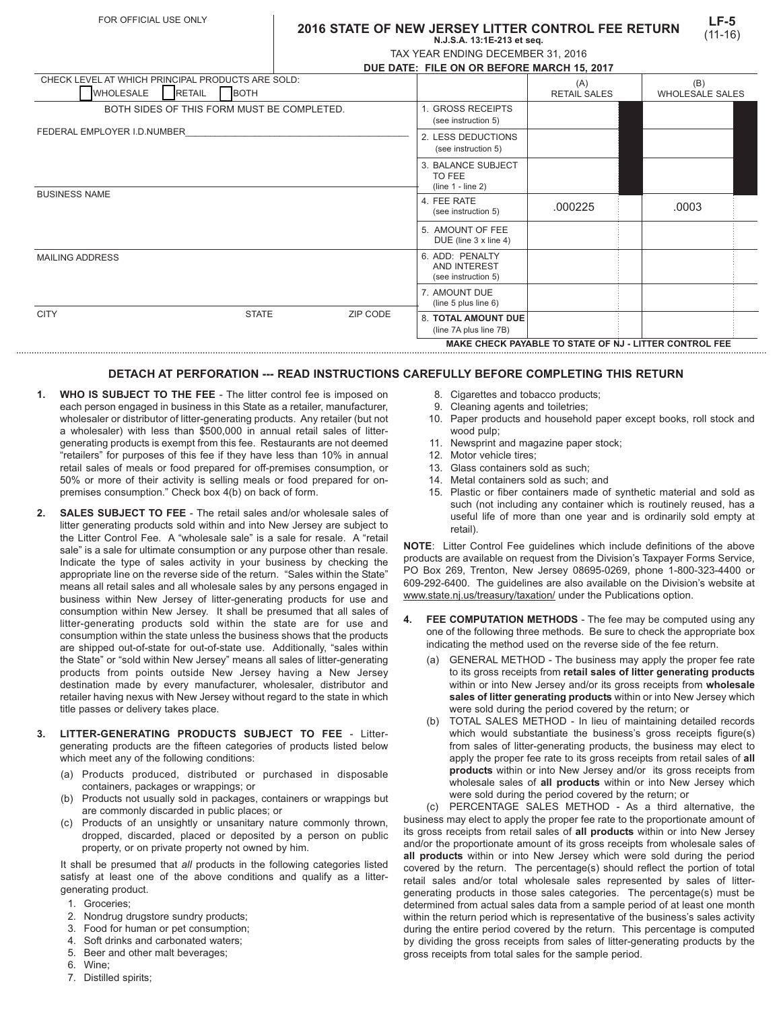## **2016 STATE OF NEW JERSEY LITTER CONTROL FEE RETURN N.J.S.A. 13:1E-213 et seq.**

|  | TAX YEAR ENDING DECEMBER 31, 2016         |  |
|--|-------------------------------------------|--|
|  | DUE DATE. EU E ON OD DEFODE MADOU 45 2047 |  |

|                                                                           |                              |                                                     | DUE DATE: FILE ON OR BEFORE MARCH 15, 2017             |                                                        |                        |
|---------------------------------------------------------------------------|------------------------------|-----------------------------------------------------|--------------------------------------------------------|--------------------------------------------------------|------------------------|
| CHECK LEVEL AT WHICH PRINCIPAL PRODUCTS ARE SOLD:                         |                              |                                                     |                                                        | (A)                                                    | (B)                    |
| <b>WHOLESALE</b>                                                          | <b>BOTH</b><br><b>RETAIL</b> |                                                     |                                                        | <b>RETAIL SALES</b>                                    | <b>WHOLESALE SALES</b> |
| BOTH SIDES OF THIS FORM MUST BE COMPLETED.<br>FEDERAL EMPLOYER I.D.NUMBER |                              | <b>GROSS RECEIPTS</b><br>(see instruction 5)        |                                                        |                                                        |                        |
|                                                                           |                              | 2. LESS DEDUCTIONS<br>(see instruction 5)           |                                                        |                                                        |                        |
|                                                                           |                              | 3. BALANCE SUBJECT<br>TO FEE<br>$(line 1 - line 2)$ |                                                        |                                                        |                        |
| <b>BUSINESS NAME</b>                                                      |                              |                                                     | 4. FEE RATE<br>(see instruction 5)                     | .000225                                                | .0003                  |
|                                                                           |                              |                                                     | 5. AMOUNT OF FEE<br>DUE (line 3 x line 4)              |                                                        |                        |
| <b>MAILING ADDRESS</b>                                                    |                              |                                                     | 6. ADD: PENALTY<br>AND INTEREST<br>(see instruction 5) |                                                        |                        |
|                                                                           |                              |                                                     | 7. AMOUNT DUE<br>(line $5$ plus line $6$ )             |                                                        |                        |
| <b>CITY</b>                                                               | <b>STATE</b>                 | ZIP CODE                                            | <b>8. TOTAL AMOUNT DUE</b><br>(line 7A plus line 7B)   |                                                        |                        |
|                                                                           |                              |                                                     |                                                        | MAKE CHECK PAYABLE TO STATE OF NJ - LITTER CONTROL FEE |                        |

## **DETACH AT PERFORATION --- READ INSTRUCTIONS CAREFULLY BEFORE COMPLETING THIS RETURN**

**MAKE CHECK PAYABLE TO STATE OF NJ - LITTER CONTROL FEE**

- **1. WHO IS SUBJECT TO THE FEE** The litter control fee is imposed on each person engaged in business in this State as a retailer, manufacturer, wholesaler or distributor of litter-generating products. Any retailer (but not a wholesaler) with less than \$500,000 in annual retail sales of littergenerating products is exempt from this fee. Restaurants are not deemed "retailers" for purposes of this fee if they have less than 10% in annual retail sales of meals or food prepared for off-premises consumption, or 50% or more of their activity is selling meals or food prepared for onpremises consumption." Check box 4(b) on back of form.
- **2. SALES SUBJECT TO FEE**  The retail sales and/or wholesale sales of litter generating products sold within and into New Jersey are subject to the Litter Control Fee. A "wholesale sale" is a sale for resale. A "retail sale" is a sale for ultimate consumption or any purpose other than resale. Indicate the type of sales activity in your business by checking the appropriate line on the reverse side of the return. "Sales within the State" means all retail sales and all wholesale sales by any persons engaged in business within New Jersey of litter-generating products for use and consumption within New Jersey. It shall be presumed that all sales of litter-generating products sold within the state are for use and consumption within the state unless the business shows that the products are shipped out-of-state for out-of-state use. Additionally, "sales within the State" or "sold within New Jersey" means all sales of litter-generating products from points outside New Jersey having a New Jersey destination made by every manufacturer, wholesaler, distributor and retailer having nexus with New Jersey without regard to the state in which title passes or delivery takes place.
- **3. LITTER-GENERATING PRODUCTS SUBJECT TO FEE** Littergenerating products are the fifteen categories of products listed below which meet any of the following conditions:
	- (a) Products produced, distributed or purchased in disposable containers, packages or wrappings; or
	- (b) Products not usually sold in packages, containers or wrappings but are commonly discarded in public places; or
	- (c) Products of an unsightly or unsanitary nature commonly thrown, dropped, discarded, placed or deposited by a person on public property, or on private property not owned by him.

It shall be presumed that *all* products in the following categories listed satisfy at least one of the above conditions and qualify as a littergenerating product.

- 1. Groceries;
- 2. Nondrug drugstore sundry products;
- 3. Food for human or pet consumption;
- 4. Soft drinks and carbonated waters;
- 5. Beer and other malt beverages;
- 6. Wine;
- 7. Distilled spirits;
- 8. Cigarettes and tobacco products:
	- 9. Cleaning agents and toiletries;
- 10. Paper products and household paper except books, roll stock and wood pulp;
- 11. Newsprint and magazine paper stock;
- 12. Motor vehicle tires;
- 13. Glass containers sold as such;
- 14. Metal containers sold as such; and
- 15. Plastic or fiber containers made of synthetic material and sold as such (not including any container which is routinely reused, has a useful life of more than one year and is ordinarily sold empty at retail).

**NOTE**: Litter Control Fee guidelines which include definitions of the above products are available on request from the Division's Taxpayer Forms Service, PO Box 269, Trenton, New Jersey 08695-0269, phone 1-800-323-4400 or 609-292-6400. The guidelines are also available on the Division's website at www.state.nj.us/treasury/taxation/ under the Publications option.

- **4. FEE COMPUTATION METHODS** The fee may be computed using any one of the following three methods. Be sure to check the appropriate box indicating the method used on the reverse side of the fee return.
	- (a) GENERAL METHOD The business may apply the proper fee rate to its gross receipts from **retail sales of litter generating products** within or into New Jersey and/or its gross receipts from **wholesale sales of litter generating products** within or into New Jersey which were sold during the period covered by the return; or
	- (b) TOTAL SALES METHOD In lieu of maintaining detailed records which would substantiate the business's gross receipts figure(s) from sales of litter-generating products, the business may elect to apply the proper fee rate to its gross receipts from retail sales of **all products** within or into New Jersey and/or its gross receipts from wholesale sales of **all products** within or into New Jersey which were sold during the period covered by the return; or

(c) PERCENTAGE SALES METHOD - As a third alternative, the business may elect to apply the proper fee rate to the proportionate amount of its gross receipts from retail sales of **all products** within or into New Jersey and/or the proportionate amount of its gross receipts from wholesale sales of **all products** within or into New Jersey which were sold during the period covered by the return. The percentage(s) should reflect the portion of total retail sales and/or total wholesale sales represented by sales of littergenerating products in those sales categories. The percentage(s) must be determined from actual sales data from a sample period of at least one month within the return period which is representative of the business's sales activity during the entire period covered by the return. This percentage is computed by dividing the gross receipts from sales of litter-generating products by the gross receipts from total sales for the sample period.

**LF-5**

|  | × |  |
|--|---|--|
|  |   |  |